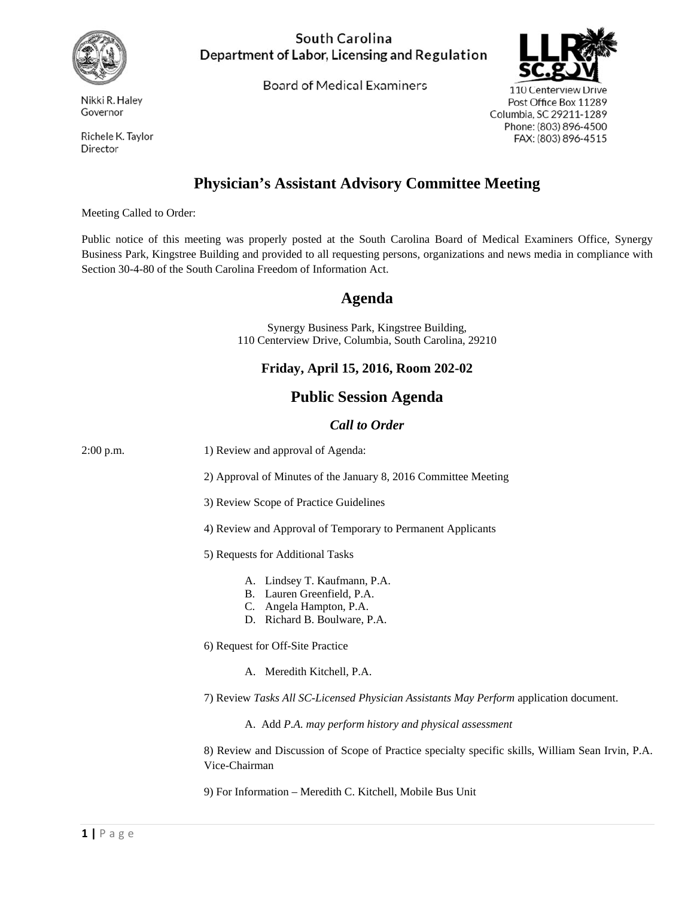

Nikki R. Haley Governor

Richele K. Taylor Director

### South Carolina Department of Labor, Licensing and Regulation

**Board of Medical Examiners** 



110 Centerview Drive Post Office Box 11289 Columbia, SC 29211-1289 Phone: (803) 896-4500 FAX: (803) 896-4515

# **Physician's Assistant Advisory Committee Meeting**

Meeting Called to Order:

Public notice of this meeting was properly posted at the South Carolina Board of Medical Examiners Office, Synergy Business Park, Kingstree Building and provided to all requesting persons, organizations and news media in compliance with Section 30-4-80 of the South Carolina Freedom of Information Act.

## **Agenda**

Synergy Business Park, Kingstree Building, 110 Centerview Drive, Columbia, South Carolina, 29210

#### **Friday, April 15, 2016, Room 202-02**

## **Public Session Agenda**

#### *Call to Order*

| $2:00$ p.m. | 1) Review and approval of Agenda:                                                                                     |
|-------------|-----------------------------------------------------------------------------------------------------------------------|
|             | 2) Approval of Minutes of the January 8, 2016 Committee Meeting                                                       |
|             | 3) Review Scope of Practice Guidelines                                                                                |
|             | 4) Review and Approval of Temporary to Permanent Applicants                                                           |
|             | 5) Requests for Additional Tasks                                                                                      |
|             | A. Lindsey T. Kaufmann, P.A.<br>B. Lauren Greenfield, P.A.<br>C. Angela Hampton, P.A.<br>D. Richard B. Boulware, P.A. |
|             | 6) Request for Off-Site Practice                                                                                      |
|             | A. Meredith Kitchell, P.A.                                                                                            |
|             | 7) Review Tasks All SC-Licensed Physician Assistants May Perform application document.                                |
|             | A. Add P.A. may perform history and physical assessment                                                               |
|             | 8) Review and Discussion of Scope of Practice specialty specific skills, William Sean Irvin, P.A.<br>Vice-Chairman    |
|             | 9) For Information - Meredith C. Kitchell, Mobile Bus Unit                                                            |
|             |                                                                                                                       |